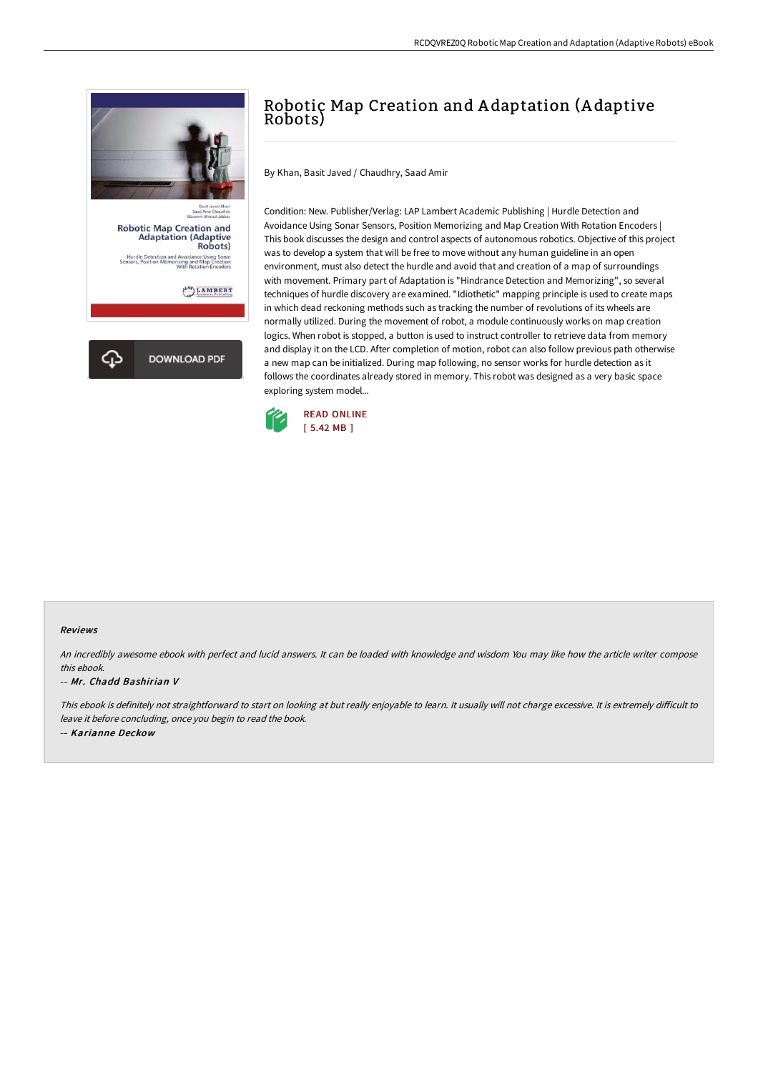

## Robotic Map Creation and A daptation (A daptive Robots)

By Khan, Basit Javed / Chaudhry, Saad Amir

Condition: New. Publisher/Verlag: LAP Lambert Academic Publishing | Hurdle Detection and Avoidance Using Sonar Sensors, Position Memorizing and Map Creation With Rotation Encoders | This book discusses the design and control aspects of autonomous robotics. Objective of this project was to develop a system that will be free to move without any human guideline in an open environment, must also detect the hurdle and avoid that and creation of a map of surroundings with movement. Primary part of Adaptation is "Hindrance Detection and Memorizing", so several techniques of hurdle discovery are examined. "Idiothetic" mapping principle is used to create maps in which dead reckoning methods such as tracking the number of revolutions of its wheels are normally utilized. During the movement of robot, a module continuously works on map creation logics. When robot is stopped, a button is used to instruct controller to retrieve data from memory and display it on the LCD. After completion of motion, robot can also follow previous path otherwise a new map can be initialized. During map following, no sensor works for hurdle detection as it follows the coordinates already stored in memory. This robot was designed as a very basic space exploring system model...



## Reviews

An incredibly awesome ebook with perfect and lucid answers. It can be loaded with knowledge and wisdom You may like how the article writer compose this ebook.

## -- Mr. Chadd Bashirian V

This ebook is definitely not straightforward to start on looking at but really enjoyable to learn. It usually will not charge excessive. It is extremely difficult to leave it before concluding, once you begin to read the book. -- Karianne Deckow